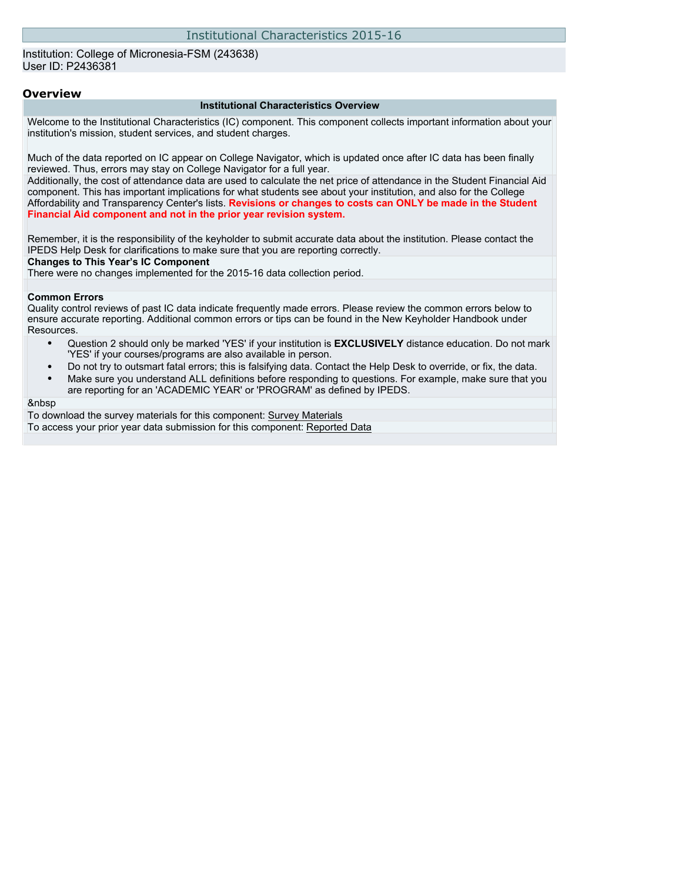### Institution: College of Micronesia-FSM (243638) User ID: P2436381

#### **Overview**

#### **Institutional Characteristics Overview**

Welcome to the Institutional Characteristics (IC) component. This component collects important information about your institution's mission, student services, and student charges.

Much of the data reported on IC appear on College Navigator, which is updated once after IC data has been finally reviewed. Thus, errors may stay on College Navigator for a full year.

Additionally, the cost of attendance data are used to calculate the net price of attendance in the Student Financial Aid component. This has important implications for what students see about your institution, and also for the College Affordability and Transparency Center's lists. **Revisions or changes to costs can ONLY be made in the Student Financial Aid component and not in the prior year revision system.**

Remember, it is the responsibility of the keyholder to submit accurate data about the institution. Please contact the IPEDS Help Desk for clarifications to make sure that you are reporting correctly.

#### **Changes to This Year's IC Component**

There were no changes implemented for the 2015-16 data collection period.

#### **Common Errors**

Quality control reviews of past IC data indicate frequently made errors. Please review the common errors below to ensure accurate reporting. Additional common errors or tips can be found in the New Keyholder Handbook under Resources.

- Question 2 should only be marked 'YES' if your institution is **EXCLUSIVELY** distance education. Do not mark 'YES' if your courses/programs are also available in person.
- Do not try to outsmart fatal errors; this is falsifying data. Contact the Help Desk to override, or fix, the data.
- Make sure you understand ALL definitions before responding to questions. For example, make sure that you are reporting for an 'ACADEMIC YEAR' or 'PROGRAM' as defined by IPEDS.

#### &nbsp

To download the survey materials for this component: [Survey Materials](https://surveys.nces.ed.gov/ipeds/VisIndex.aspx) To access your prior year data submission for this component: [Reported Data](http://192.168.102.89/IPEDS/PriorYearDataRedirect.aspx?survey_id=11)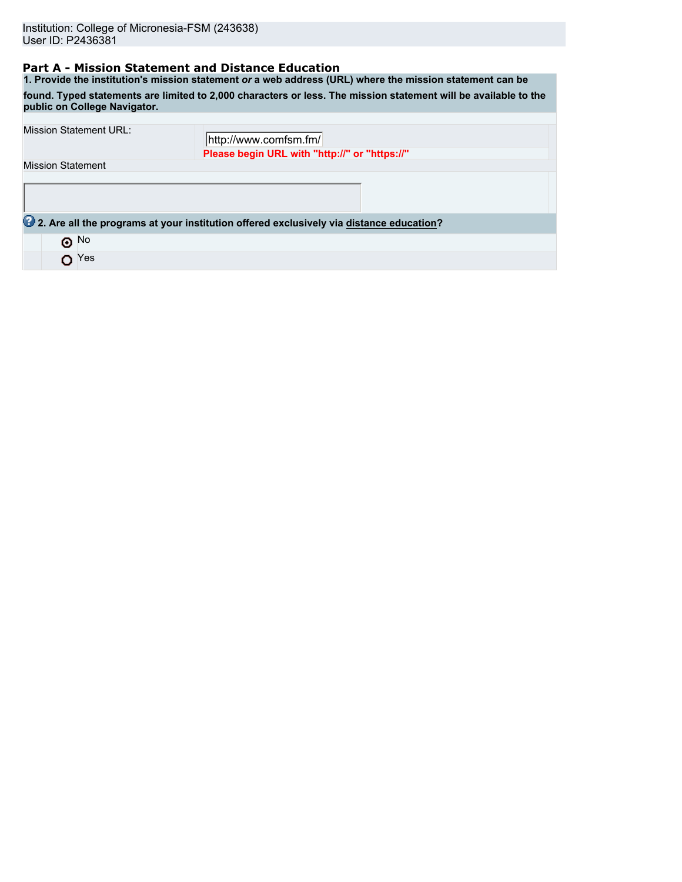## **Part A - Mission Statement and Distance Education**

**1. Provide the institution's mission statement** *or* **a web address (URL) where the mission statement can be found. Typed statements are limited to 2,000 characters or less. The mission statement will be available to the public on College Navigator.**

| <b>Mission Statement URL:</b> | http://www.comfsm.fm/                                                                   |  |  |  |  |  |  |
|-------------------------------|-----------------------------------------------------------------------------------------|--|--|--|--|--|--|
|                               | Please begin URL with "http://" or "https://"                                           |  |  |  |  |  |  |
| <b>Mission Statement</b>      |                                                                                         |  |  |  |  |  |  |
|                               |                                                                                         |  |  |  |  |  |  |
|                               |                                                                                         |  |  |  |  |  |  |
|                               |                                                                                         |  |  |  |  |  |  |
|                               | 2. Are all the programs at your institution offered exclusively via distance education? |  |  |  |  |  |  |
| $\odot$ No                    |                                                                                         |  |  |  |  |  |  |
| Yes<br>O                      |                                                                                         |  |  |  |  |  |  |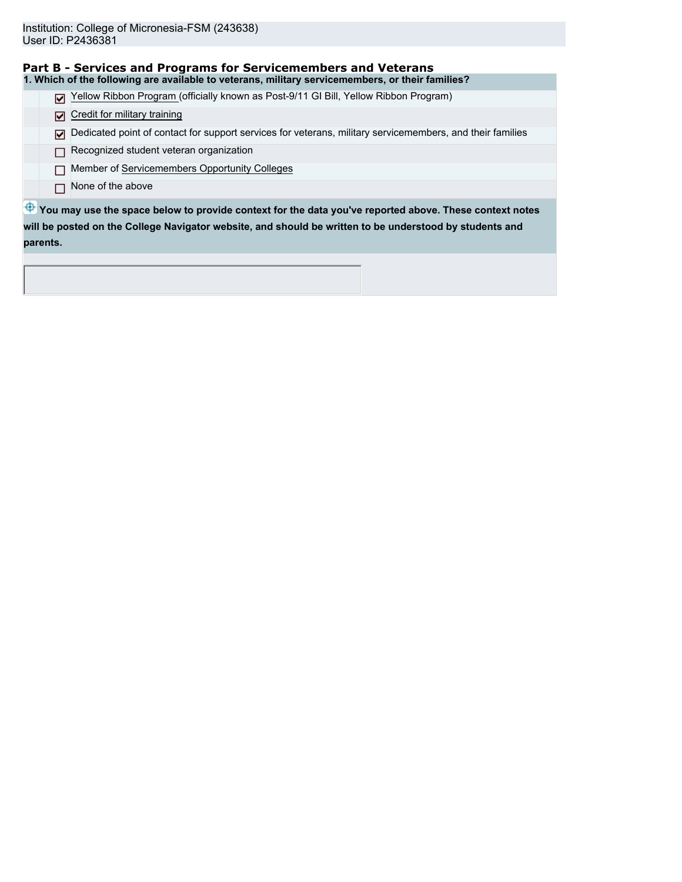| Part B - Services and Programs for Servicemembers and Veterans                                                     |
|--------------------------------------------------------------------------------------------------------------------|
| 1. Which of the following are available to veterans, military servicemembers, or their families?                   |
| Yellow Ribbon Program (officially known as Post-9/11 GI Bill, Yellow Ribbon Program)<br>М                          |
| Credit for military training<br>м                                                                                  |
| Dedicated point of contact for support services for veterans, military servicemembers, and their families<br>м     |
| Recognized student veteran organization                                                                            |
| Member of Servicemembers Opportunity Colleges                                                                      |
| None of the above                                                                                                  |
| $\bigoplus$ You may use the space below to provide context for the data you've reported above. These context notes |
| will be posted on the College Navigator website, and should be written to be understood by students and            |
| parents.                                                                                                           |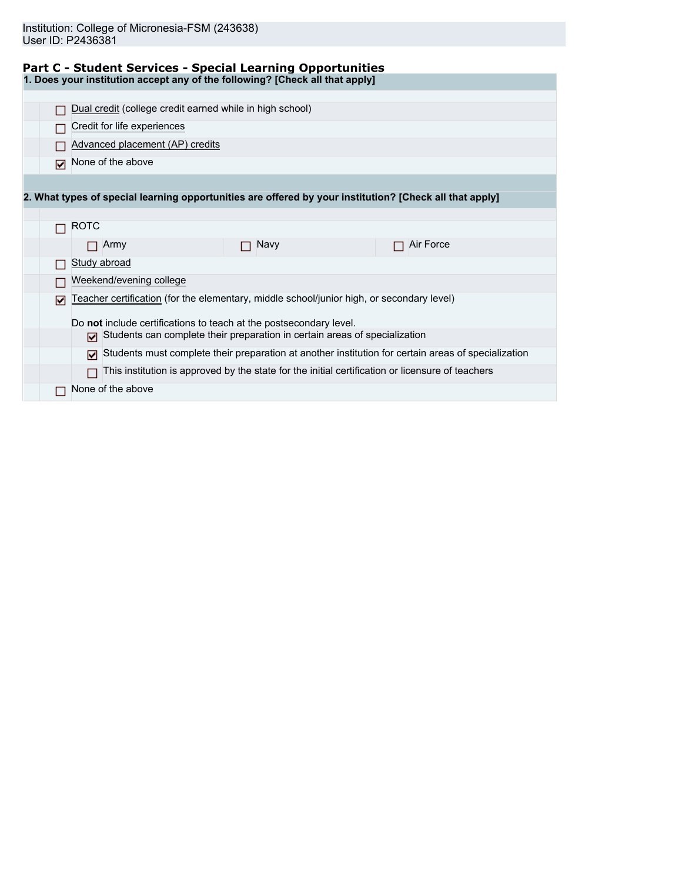|  |  | Part C - Student Services - Special Learning Opportunities |
|--|--|------------------------------------------------------------|
|  |  |                                                            |

**1. Does your institution accept any of the following? [Check all that apply]**

|                                                                                                            |                             |      |                         |                                 |  |  | Dual credit (college credit earned while in high school) |                                                                                                         |           |  |
|------------------------------------------------------------------------------------------------------------|-----------------------------|------|-------------------------|---------------------------------|--|--|----------------------------------------------------------|---------------------------------------------------------------------------------------------------------|-----------|--|
|                                                                                                            | Credit for life experiences |      |                         |                                 |  |  |                                                          |                                                                                                         |           |  |
|                                                                                                            |                             |      |                         | Advanced placement (AP) credits |  |  |                                                          |                                                                                                         |           |  |
| ঢ়                                                                                                         | None of the above           |      |                         |                                 |  |  |                                                          |                                                                                                         |           |  |
|                                                                                                            |                             |      |                         |                                 |  |  |                                                          |                                                                                                         |           |  |
|                                                                                                            |                             |      |                         |                                 |  |  |                                                          | 2. What types of special learning opportunities are offered by your institution? [Check all that apply] |           |  |
|                                                                                                            |                             |      |                         |                                 |  |  |                                                          |                                                                                                         |           |  |
|                                                                                                            | <b>ROTC</b>                 |      |                         |                                 |  |  |                                                          |                                                                                                         |           |  |
|                                                                                                            |                             | Army |                         |                                 |  |  | Navy                                                     |                                                                                                         | Air Force |  |
|                                                                                                            | Study abroad                |      |                         |                                 |  |  |                                                          |                                                                                                         |           |  |
|                                                                                                            |                             |      | Weekend/evening college |                                 |  |  |                                                          |                                                                                                         |           |  |
| ا⊽ا                                                                                                        |                             |      |                         |                                 |  |  |                                                          | Teacher certification (for the elementary, middle school/junior high, or secondary level)               |           |  |
|                                                                                                            |                             |      |                         |                                 |  |  |                                                          | Do not include certifications to teach at the postsecondary level.                                      |           |  |
|                                                                                                            | М                           |      |                         |                                 |  |  |                                                          |                                                                                                         |           |  |
| Students can complete their preparation in certain areas of specialization                                 |                             |      |                         |                                 |  |  |                                                          |                                                                                                         |           |  |
| Students must complete their preparation at another institution for certain areas of specialization<br>ا⊽ا |                             |      |                         |                                 |  |  |                                                          |                                                                                                         |           |  |
|                                                                                                            |                             |      |                         |                                 |  |  |                                                          | This institution is approved by the state for the initial certification or licensure of teachers        |           |  |
|                                                                                                            | None of the above           |      |                         |                                 |  |  |                                                          |                                                                                                         |           |  |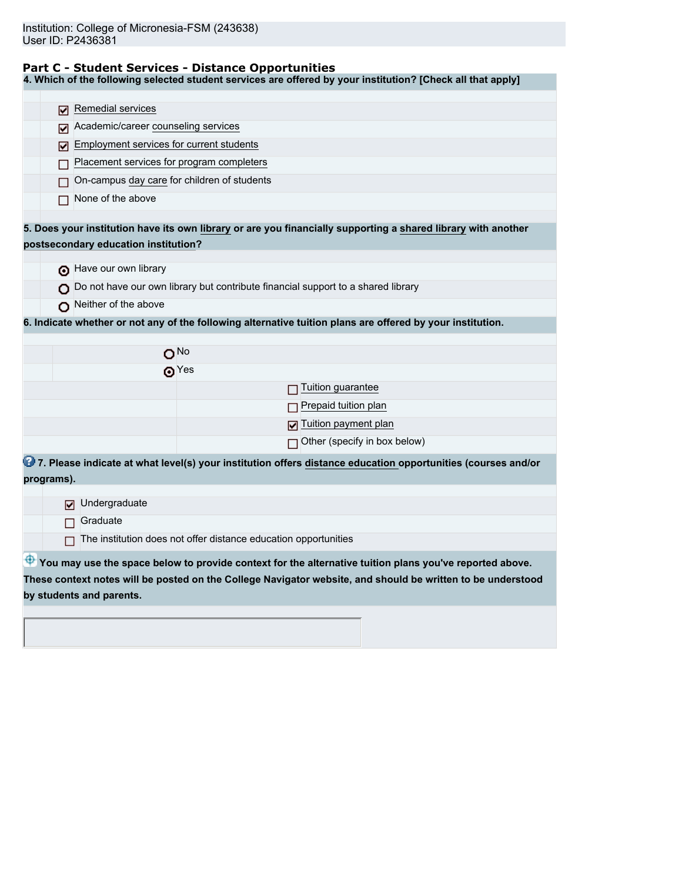### **Part C - Student Services - Distance Opportunities**

**4. Which of the following selected student services are offered by your institution? [Check all that apply]**

|                                                                 | Remedial services                        |                                                                                                               |  |  |  |
|-----------------------------------------------------------------|------------------------------------------|---------------------------------------------------------------------------------------------------------------|--|--|--|
|                                                                 | ☑<br>Academic/career counseling services |                                                                                                               |  |  |  |
|                                                                 | ⊽                                        |                                                                                                               |  |  |  |
|                                                                 | ⊽                                        | Employment services for current students                                                                      |  |  |  |
|                                                                 |                                          | Placement services for program completers                                                                     |  |  |  |
|                                                                 |                                          | On-campus day care for children of students                                                                   |  |  |  |
|                                                                 | None of the above                        |                                                                                                               |  |  |  |
|                                                                 |                                          |                                                                                                               |  |  |  |
|                                                                 |                                          | 5. Does your institution have its own library or are you financially supporting a shared library with another |  |  |  |
|                                                                 | postsecondary education institution?     |                                                                                                               |  |  |  |
|                                                                 | have our own library                     |                                                                                                               |  |  |  |
|                                                                 |                                          | Do not have our own library but contribute financial support to a shared library                              |  |  |  |
|                                                                 | Neither of the above                     |                                                                                                               |  |  |  |
|                                                                 |                                          | 6. Indicate whether or not any of the following alternative tuition plans are offered by your institution.    |  |  |  |
|                                                                 |                                          |                                                                                                               |  |  |  |
|                                                                 |                                          | O <sub>No</sub>                                                                                               |  |  |  |
|                                                                 |                                          | ക $Yes$                                                                                                       |  |  |  |
|                                                                 |                                          | Tuition guarantee                                                                                             |  |  |  |
|                                                                 |                                          | Prepaid tuition plan                                                                                          |  |  |  |
|                                                                 |                                          | Tuition payment plan                                                                                          |  |  |  |
|                                                                 |                                          | $\Box$ Other (specify in box below)                                                                           |  |  |  |
|                                                                 |                                          | 7. Please indicate at what level(s) your institution offers distance education opportunities (courses and/or  |  |  |  |
| programs).                                                      |                                          |                                                                                                               |  |  |  |
|                                                                 |                                          |                                                                                                               |  |  |  |
|                                                                 | Undergraduate                            |                                                                                                               |  |  |  |
|                                                                 | Graduate                                 |                                                                                                               |  |  |  |
| The institution does not offer distance education opportunities |                                          |                                                                                                               |  |  |  |
|                                                                 |                                          | You may use the space below to provide context for the alternative tuition plans you've reported above.       |  |  |  |
|                                                                 |                                          | These context notes will be posted on the College Navigator website, and should be written to be understood   |  |  |  |
|                                                                 | by students and parents.                 |                                                                                                               |  |  |  |
|                                                                 |                                          |                                                                                                               |  |  |  |
|                                                                 |                                          |                                                                                                               |  |  |  |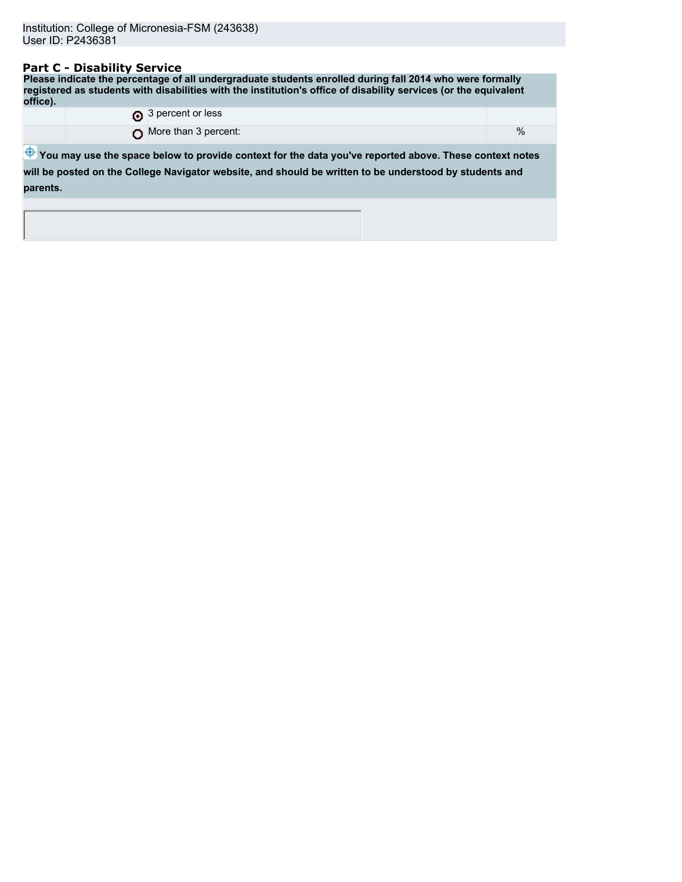### **Part C - Disability Service**

**Please indicate the percentage of all undergraduate students enrolled during fall 2014 who were formally registered as students with disabilities with the institution's office of disability services (or the equivalent office).** 3 percent or less

O More than 3 percent:  $\sim$  %

 $\bigoplus$  **You may use the space below to provide context for the data you've reported above. These context notes will be posted on the College Navigator website, and should be written to be understood by students and parents.**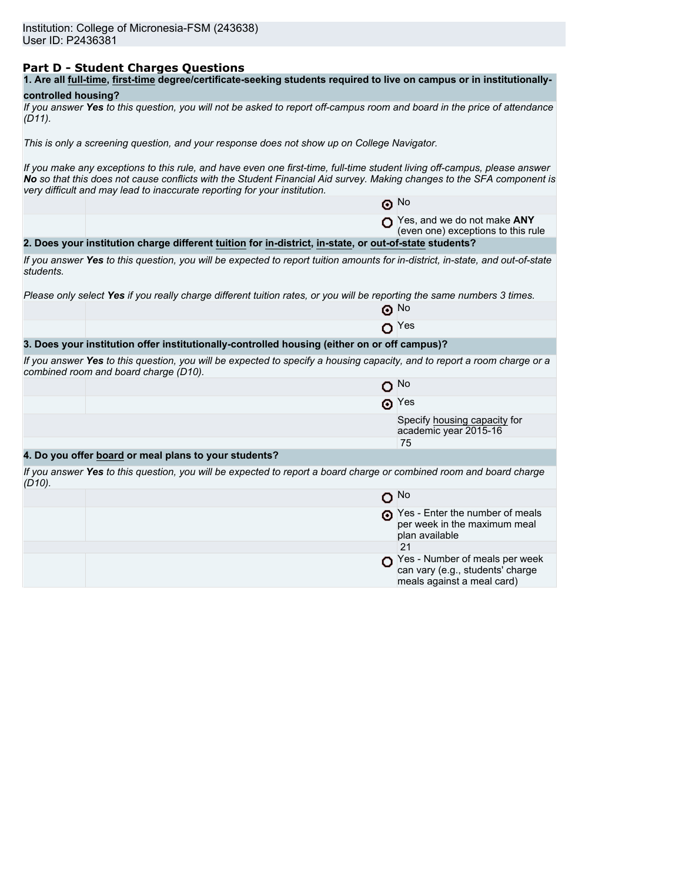### **Part D - Student Charges Questions**

| 1. Are all full-time, first-time degree/certificate-seeking students required to live on campus or in institutionally- |
|------------------------------------------------------------------------------------------------------------------------|
|------------------------------------------------------------------------------------------------------------------------|

### **controlled housing?**

|           | If you answer Yes to this question, you will not be asked to report off-campus room and board in the price of attendance |  |  |
|-----------|--------------------------------------------------------------------------------------------------------------------------|--|--|
| $(D11)$ . |                                                                                                                          |  |  |

*This is only a screening question, and your response does not show up on College Navigator.*

*If you make any exceptions to this rule, and have even one first-time, full-time student living off-campus, please answer No so that this does not cause conflicts with the Student Financial Aid survey. Making changes to the SFA component is very difficult and may lead to inaccurate reporting for your institution.*

|           |                                                                                                                                                                   | $\odot$ No                                                                        |
|-----------|-------------------------------------------------------------------------------------------------------------------------------------------------------------------|-----------------------------------------------------------------------------------|
|           |                                                                                                                                                                   | Yes, and we do not make ANY<br>(even one) exceptions to this rule                 |
|           | 2. Does your institution charge different tuition for in-district, in-state, or out-of-state students?                                                            |                                                                                   |
| students. | If you answer Yes to this question, you will be expected to report tuition amounts for in-district, in-state, and out-of-state                                    |                                                                                   |
|           | Please only select Yes if you really charge different tuition rates, or you will be reporting the same numbers 3 times.                                           |                                                                                   |
|           |                                                                                                                                                                   | ⊙ No                                                                              |
|           |                                                                                                                                                                   | $\mathbf{O}$ Yes                                                                  |
|           | 3. Does your institution offer institutionally-controlled housing (either on or off campus)?                                                                      |                                                                                   |
|           | If you answer Yes to this question, you will be expected to specify a housing capacity, and to report a room charge or a<br>combined room and board charge (D10). |                                                                                   |
|           | o                                                                                                                                                                 | No.                                                                               |
|           |                                                                                                                                                                   | $\odot$ Yes                                                                       |
|           |                                                                                                                                                                   | Specify housing capacity for<br>academic year 2015-16                             |
|           |                                                                                                                                                                   | 75                                                                                |
|           | 4. Do you offer board or meal plans to your students?                                                                                                             |                                                                                   |
| $(D10)$ . | If you answer Yes to this question, you will be expected to report a board charge or combined room and board charge                                               |                                                                                   |
|           |                                                                                                                                                                   | $O$ No                                                                            |
|           |                                                                                                                                                                   | Pes - Enter the number of meals<br>per week in the maximum meal<br>plan available |
|           |                                                                                                                                                                   | 21                                                                                |
|           |                                                                                                                                                                   | $\blacksquare$ Yos Number of moals per wook                                       |

Yes - Number of meals per week can vary (e.g., students' charge meals against a meal card)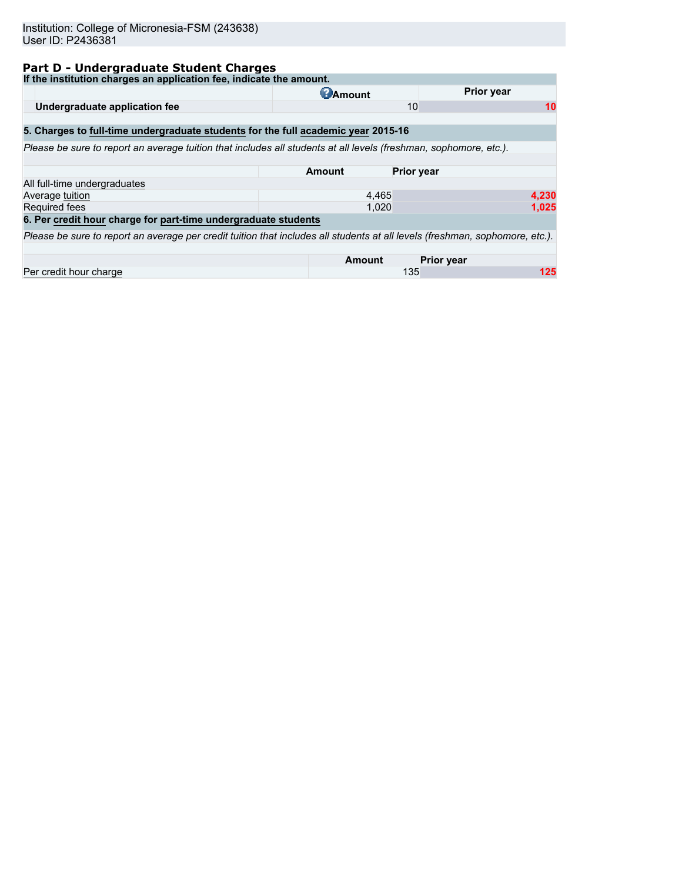# **Part D - Undergraduate Student Charges**

| If the institution charges an application fee, indicate the amount.                                                          |                 |                   |
|------------------------------------------------------------------------------------------------------------------------------|-----------------|-------------------|
|                                                                                                                              | <b>C</b> Amount | <b>Prior year</b> |
| Undergraduate application fee                                                                                                | 10              | 10                |
| 5. Charges to full-time undergraduate students for the full academic year 2015-16                                            |                 |                   |
|                                                                                                                              |                 |                   |
| Please be sure to report an average tuition that includes all students at all levels (freshman, sophomore, etc.).            |                 |                   |
|                                                                                                                              |                 |                   |
|                                                                                                                              | Amount          | <b>Prior year</b> |
| All full-time undergraduates                                                                                                 |                 |                   |
| Average tuition                                                                                                              | 4,465           | 4,230             |
| Required fees                                                                                                                | 1.020           | 1,025             |
| 6. Per credit hour charge for part-time undergraduate students                                                               |                 |                   |
| Please be sure to report an average per credit tuition that includes all students at all levels (freshman, sophomore, etc.). |                 |                   |
|                                                                                                                              |                 |                   |
|                                                                                                                              | <b>Amount</b>   | <b>Prior year</b> |
| Per credit hour charge                                                                                                       | 135             | 125               |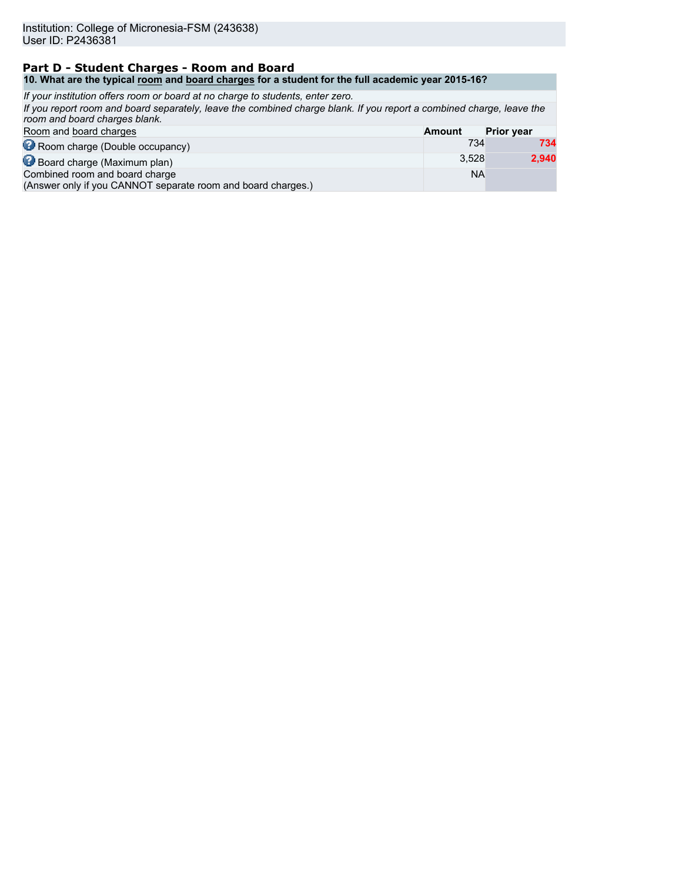### **Part D - Student Charges - Room and Board 10. What are the typical room and board charges for a student for the full academic year 2015-16?**

| If your institution offers room or board at no charge to students, enter zero.                                                                        |               |                   |
|-------------------------------------------------------------------------------------------------------------------------------------------------------|---------------|-------------------|
| If you report room and board separately, leave the combined charge blank. If you report a combined charge, leave the<br>room and board charges blank. |               |                   |
| Room and board charges                                                                                                                                | <b>Amount</b> | <b>Prior year</b> |
| Room charge (Double occupancy)                                                                                                                        | 734           | 734               |
| Board charge (Maximum plan)                                                                                                                           | 3.528         | 2,940             |
| Combined room and board charge<br>(Answer only if you CANNOT separate room and board charges.)                                                        | <b>NA</b>     |                   |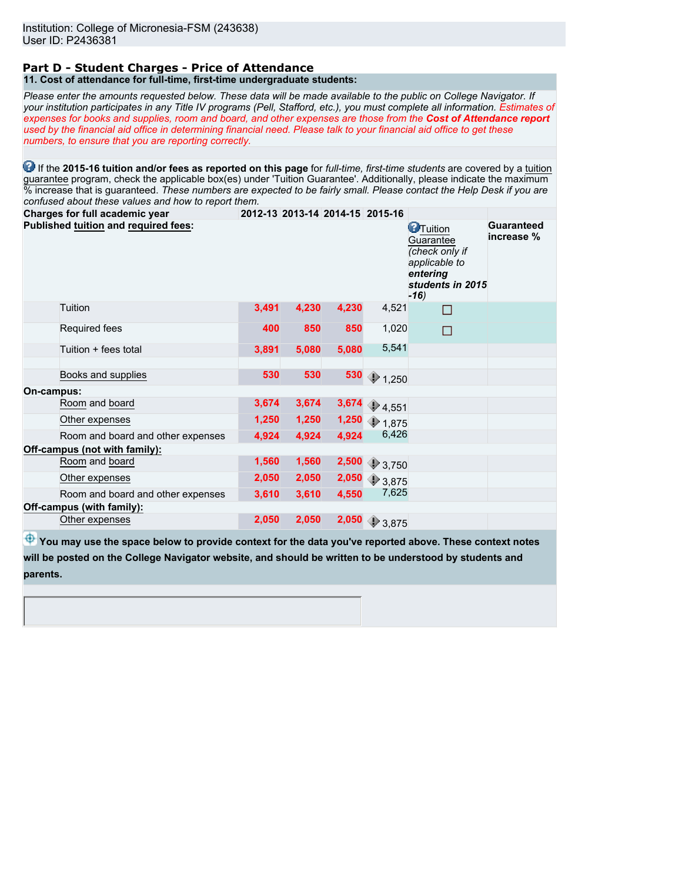#### **Part D - Student Charges - Price of Attendance 11. Cost of attendance for full-time, first-time undergraduate students:**

*Please enter the amounts requested below. These data will be made available to the public on College Navigator. If your institution participates in any Title IV programs (Pell, Stafford, etc.), you must complete all information. Estimates of expenses for books and supplies, room and board, and other expenses are those from the Cost of Attendance report used by the financial aid office in determining financial need. Please talk to your financial aid office to get these numbers, to ensure that you are reporting correctly.*

**1** If the 2015-16 tuition and/or fees as reported on this page for *full-time, first-time students* are covered by a tuition guarantee program, check the applicable box(es) under 'Tuition Guarantee'. Additionally, please indicate the maximum % increase that is guaranteed. *These numbers are expected to be fairly small. Please contact the Help Desk if you are confused about these values and how to report them.*

| Charges for full academic year       |       |       | 2012-13 2013-14 2014-15 2015-16 |                          |                                                                                                            |                                 |
|--------------------------------------|-------|-------|---------------------------------|--------------------------|------------------------------------------------------------------------------------------------------------|---------------------------------|
| Published tuition and required fees: |       |       |                                 |                          | <b>C</b> Tuition<br>Guarantee<br>(check only if<br>applicable to<br>entering<br>students in 2015<br>$-16)$ | <b>Guaranteed</b><br>increase % |
| Tuition                              | 3,491 | 4,230 | 4,230                           | 4,521                    | $\Box$                                                                                                     |                                 |
| Required fees                        | 400   | 850   | 850                             | 1,020                    | П                                                                                                          |                                 |
| Tuition + fees total                 | 3,891 | 5,080 | 5,080                           | 5,541                    |                                                                                                            |                                 |
| Books and supplies                   | 530   | 530   | 530                             | $\bigcirc$ 1,250         |                                                                                                            |                                 |
| On-campus:                           |       |       |                                 |                          |                                                                                                            |                                 |
| Room and board                       | 3,674 | 3,674 | 3,674                           | $\bigcirc$ 4,551         |                                                                                                            |                                 |
| Other expenses                       | 1,250 | 1,250 | 1,250                           | $\bigcirc$ 1,875         |                                                                                                            |                                 |
| Room and board and other expenses    | 4,924 | 4,924 | 4,924                           | 6,426                    |                                                                                                            |                                 |
| Off-campus (not with family):        |       |       |                                 |                          |                                                                                                            |                                 |
| Room and board                       | 1,560 | 1,560 | 2,500                           | 2,750                    |                                                                                                            |                                 |
| Other expenses                       | 2,050 | 2,050 | 2,050                           | 3,875                    |                                                                                                            |                                 |
| Room and board and other expenses    | 3,610 | 3,610 | 4,550                           | 7,625                    |                                                                                                            |                                 |
| Off-campus (with family):            |       |       |                                 |                          |                                                                                                            |                                 |
| Other expenses                       | 2,050 | 2,050 |                                 | $2,050$ $\bigcirc$ 3,875 |                                                                                                            |                                 |

 $\bigoplus$  **You may use the space below to provide context for the data you've reported above. These context notes will be posted on the College Navigator website, and should be written to be understood by students and parents.**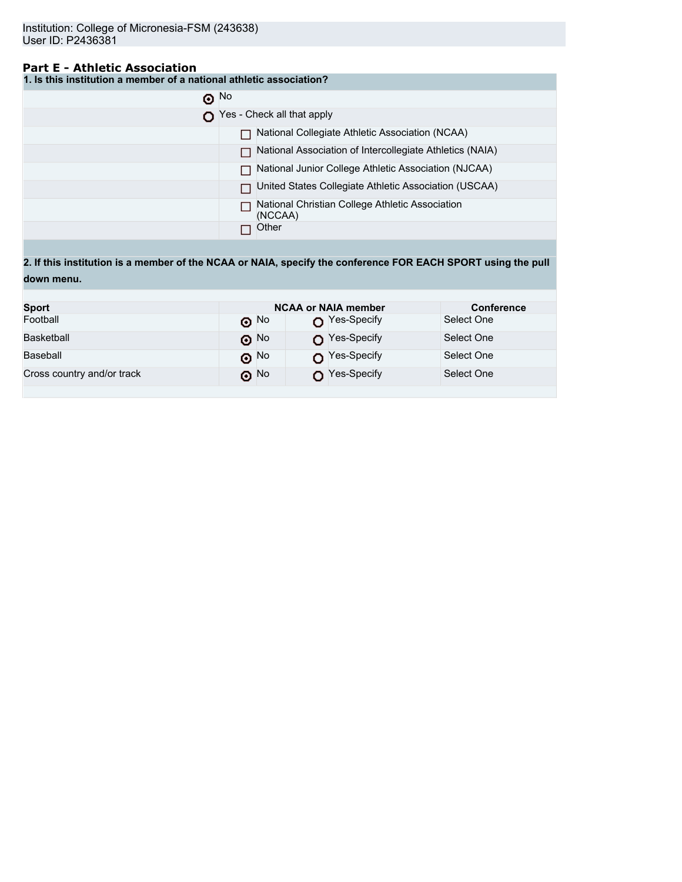## **Part E - Athletic Association**

|  | 1. Is this institution a member of a national athletic association? |  |
|--|---------------------------------------------------------------------|--|
|--|---------------------------------------------------------------------|--|

| $\odot$ No |                                                            |
|------------|------------------------------------------------------------|
|            | Yes - Check all that apply                                 |
|            | National Collegiate Athletic Association (NCAA)            |
|            | National Association of Intercollegiate Athletics (NAIA)   |
|            | National Junior College Athletic Association (NJCAA)       |
|            | United States Collegiate Athletic Association (USCAA)      |
|            | National Christian College Athletic Association<br>(NCCAA) |
|            | Other                                                      |

**2. If this institution is a member of the NCAA or NAIA, specify the conference FOR EACH SPORT using the pull down menu.**

| <b>Sport</b>               |                          | <b>NCAA or NAIA member</b> | <b>Conference</b> |
|----------------------------|--------------------------|----------------------------|-------------------|
| Football                   | $\odot$ No               | $\bigcap$ Yes-Specify      | Select One        |
| Basketball                 | $\boldsymbol{\Theta}$ No | Yes-Specify                | Select One        |
| Baseball                   | $\odot$ No               | $\bigcap$ Yes-Specify      | Select One        |
| Cross country and/or track | ெ No                     | Yes-Specify                | Select One        |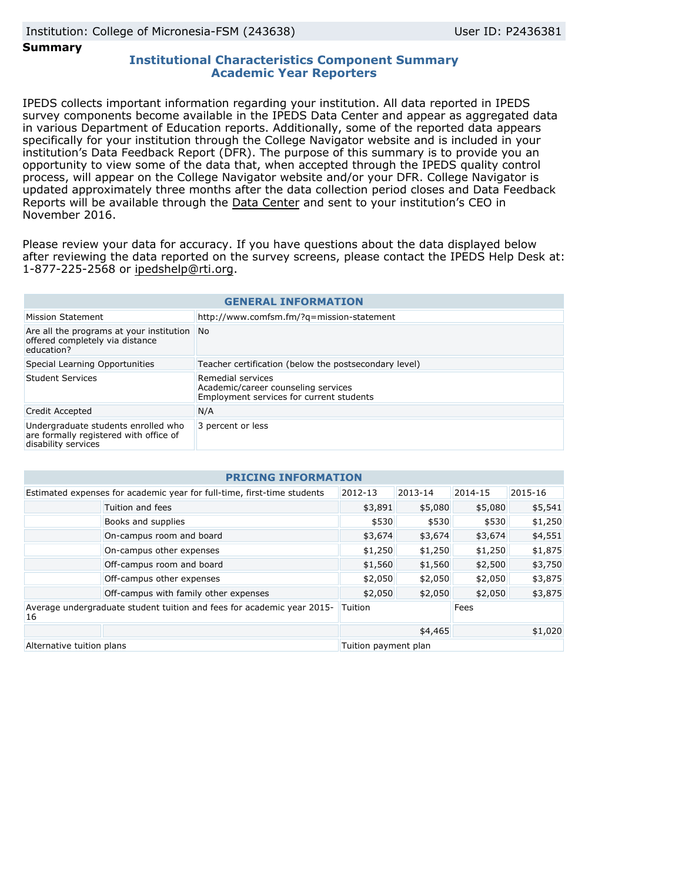**Summary**

### **Institutional Characteristics Component Summary Academic Year Reporters**

IPEDS collects important information regarding your institution. All data reported in IPEDS survey components become available in the IPEDS Data Center and appear as aggregated data in various Department of Education reports. Additionally, some of the reported data appears specifically for your institution through the College Navigator website and is included in your institution's Data Feedback Report (DFR). The purpose of this summary is to provide you an opportunity to view some of the data that, when accepted through the IPEDS quality control process, will appear on the College Navigator website and/or your DFR. College Navigator is updated approximately three months after the data collection period closes and Data Feedback Reports will be available through the [Data Center](http://nces.ed.gov/ipeds/datacenter/) and sent to your institution's CEO in November 2016.

Please review your data for accuracy. If you have questions about the data displayed below after reviewing the data reported on the survey screens, please contact the IPEDS Help Desk at: 1-877-225-2568 or ipedshelp@rti.org.

| <b>GENERAL INFORMATION</b>                                                                           |                                                                                                      |  |  |
|------------------------------------------------------------------------------------------------------|------------------------------------------------------------------------------------------------------|--|--|
| Mission Statement                                                                                    | http://www.comfsm.fm/?g=mission-statement                                                            |  |  |
| Are all the programs at your institution<br>offered completely via distance<br>education?            | <b>No</b>                                                                                            |  |  |
| Special Learning Opportunities                                                                       | Teacher certification (below the postsecondary level)                                                |  |  |
| Student Services                                                                                     | Remedial services<br>Academic/career counseling services<br>Employment services for current students |  |  |
| Credit Accepted                                                                                      | N/A                                                                                                  |  |  |
| Undergraduate students enrolled who<br>are formally registered with office of<br>disability services | 3 percent or less                                                                                    |  |  |

| <b>PRICING INFORMATION</b>                                                          |                                       |                      |         |             |         |
|-------------------------------------------------------------------------------------|---------------------------------------|----------------------|---------|-------------|---------|
| Estimated expenses for academic year for full-time, first-time students             |                                       | 2012-13              | 2013-14 | $2014 - 15$ | 2015-16 |
|                                                                                     | Tuition and fees                      | \$3,891              | \$5,080 | \$5,080     | \$5,541 |
|                                                                                     | Books and supplies                    | \$530                | \$530   | \$530       | \$1,250 |
|                                                                                     | On-campus room and board              | \$3,674              | \$3,674 | \$3,674     | \$4,551 |
|                                                                                     | On-campus other expenses              | \$1,250              | \$1,250 | \$1,250     | \$1,875 |
|                                                                                     | Off-campus room and board             | \$1,560              | \$1,560 | \$2,500     | \$3,750 |
|                                                                                     | Off-campus other expenses             | \$2,050              | \$2,050 | \$2,050     | \$3,875 |
|                                                                                     | Off-campus with family other expenses | \$2,050              | \$2,050 | \$2,050     | \$3,875 |
| Average undergraduate student tuition and fees for academic year 2015-<br><b>16</b> |                                       | Tuition              |         | Fees        |         |
|                                                                                     |                                       |                      | \$4,465 |             | \$1,020 |
| Alternative tuition plans                                                           |                                       | Tuition payment plan |         |             |         |